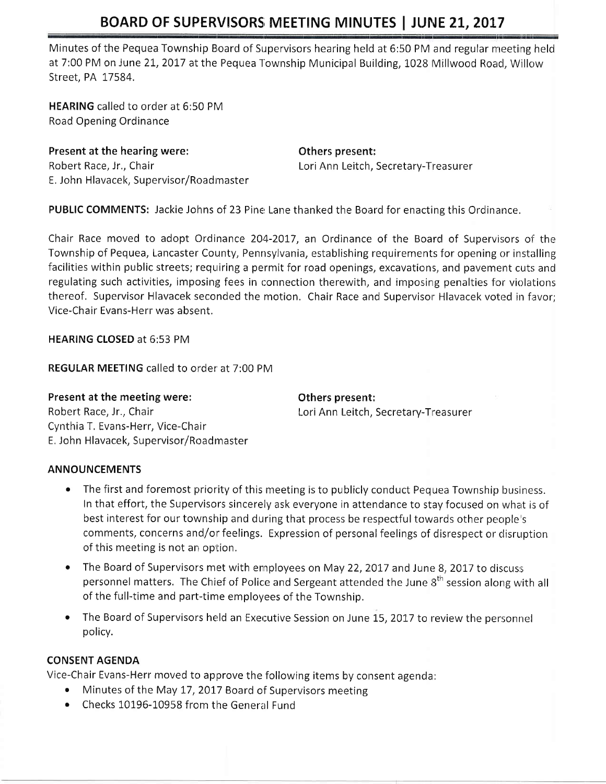# BOARD OF SUPERVISORS MEETING MINUTES | JUNE 21, 2017

Minutes of the Pequea Township Board of Supervisors hearing held at 6:50 PM and regular meeting held at 7:00 PM on June 21, 2017 at the Pequea Township Municipal Building, 1028 Millwood Road, Willow Street, PA 17584.

HEARING called to order at 6:50 PM Road Opening Ordinance

Present at the hearing were: The Communist Communist Communist Communist Communist Communist Communist Communist Communist Communist Communist Communist Communist Communist Communist Communist Communist Communist Communist Robert Race, Jr., Chair **Lori Ann Leitch, Secretary-Treasurer** Lori Ann Leitch, Secretary-Treasurer E. John Hlavacek, Supervisor/Roadmaster

PUBLIC COMMENTS: Jackie Johns of 23 Pine Lane thanked the Board for enacting this Ordinance.

Chair Race moved to adopt Ordinance 204-2017, an Ordinance of the Board of Supervisors of the Township of Pequea, Lancaster County, Pennsylvania, establishing requirements for opening or installing facilities within public streets; requiring a permit for road openings, excavations, and pavement cuts and regulating such activities, imposing fees in connection therewith, and imposing penalties for violations thereof. Supervisor Hlavacek seconded the motion. Chair Race and Supervisor Hlavacek voted in favor; Vice-Chair Evans-Herr was absent.

HEARING CLOSED at 6:53 PM

REGULAR MEETING called to onder at 7:00 PM

Present at the meeting were: The resent: Others present: Robert Race, Jr., Chair **Lori Ann Leitch, Secretary-Treasurer** Cynthia T, Evans-Herr, Vice-Chair E. John Hlavacek, Supervisor/Roadmaster

### ANNOUNCEMENTS

- The first and foremost priority of this meeting is to publicly conduct Pequea Township business. In that effort, the Supervisors sincerely ask everyone in attendance to stay focused on what is of best interest for our township and during that process be respectful towards other people's comments, concerns and/or feelings. Expression of personal feelings of disrespect or disruption of this meeting is not an option.
- The Board of Supervisors met with employees on May 22, 2017 and June 8, 2017 to discuss personnel matters. The Chief of Police and Sergeant attended the June  $8<sup>th</sup>$  session along with all of the full-time and part-time employees of the Township.
- The Board of Supervisors held an Executive Session on June 15, 2017 to review the personnel policy.

### CONSENT AGENDA

Vice-Chair Evans-Herr moved to approve the following items by consent agenda:

- Minutes of the May 17, 2017 Board of Supervisors meeting
- Checks 10196-10958 from the General Fund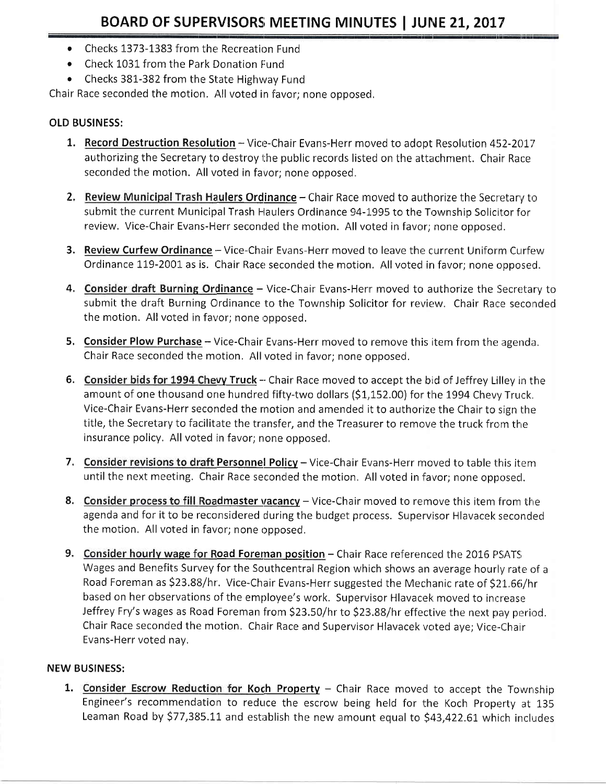- Checks 1373-1383 from the Recreation Fund
- Check 1031 from the Park Donation Fund
- Checks 381-382 from the State Highway Fund

Chair Race seconded the motion. All voted in favor; none opposed.

## **OLD BUSINESS:**

- 1. Record Destruction Resolution Vice-Chair Evans-Herr moved to adopt Resolution 452-2017 authorizing the Secretary to destroy the public records listed on the attachment. Chair Race seconded the motion. All voted in favor; none opposed.
- 2. Review Municipal Trash Haulers Ordinance Chair Race moved to authorize the Secretary to submit the current Municipal Trash Haulers Ordinance 94-1995 to the Township Solicitor for review. Vice-Chair Evans-Herr seconded the motion. All voted in favor; none opposed.
- 3. Review Curfew Ordinance Vice-Chair Evans-Herr moved to leave the current Uniform Curfew Ordinance 119-2001 as is. Chair Race seconded the motion. All voted in favor; none opposed.
- 4. Consider draft Burning Ordinance Vice-Chair Evans-Herr moved to authorize the Secretary to submit the draft Burning Ordinance to the Township Solicitor for review. Chair Race seconded the motion. All voted in favor; none opposed.
- 5. Consider Plow Purchase Vice-Chair Evans-Herr moved to remove this item from the agenda. Chair Race seconded the motion. All voted in favor; none opposed.
- 6. Consider bids for 1994 Chevy Truck -- Chair Race moved to accept the bid of Jeffrey Lilley in the amount of one thousand one hundred fifty-two dollars (\$1,152.00) for the 1994 Chevy Truck. Vice-Chair Evans-Herr seconded the motion and amended it to authorize the Chair to sign the title, the Secretary to facilitate the transfer, and the Treasurer to remove the truck from the insurance policy. All voted in favor; none opposed.
- 7. Consider revisions to draft Personnel Policy Vice-Chair Evans-Herr moved to table this item until the next meeting. Chair Race seconded the motion. All voted in favor; none opposed.
- 8. Consider process to fill Roadmaster vacancy Vice-Chair moved to remove this item from the agenda and for it to be reconsidered during the budget process. Supervisor Hlavacek seconded the motion. All voted in favor; none opposed.
- 9. Consider hourly wage for Road Foreman position Chair Race referenced the 2016 PSATS Wages and Benefits Survey for the Southcentral Region which shows an average hourly rate of a Road Foreman as \$23.88/hr. Vice-Chair Evans-Herr suggested the Mechanic rate of \$21.66/hr based on her observations of the employee's work. Supervisor Hlavacek moved to increase Jeffrey Fry's wages as Road Foreman from \$23.50/hr to \$23.88/hr effective the next pay period. Chair Race seconded the motion. Chair Race and Supervisor Hlavacek voted aye; Vice-Chair Evans-Herr voted nay.

## **NEW BUSINESS:**

1. Consider Escrow Reduction for Koch Property - Chair Race moved to accept the Township Engineer's recommendation to reduce the escrow being held for the Koch Property at 135 Leaman Road by \$77,385.11 and establish the new amount equal to \$43,422.61 which includes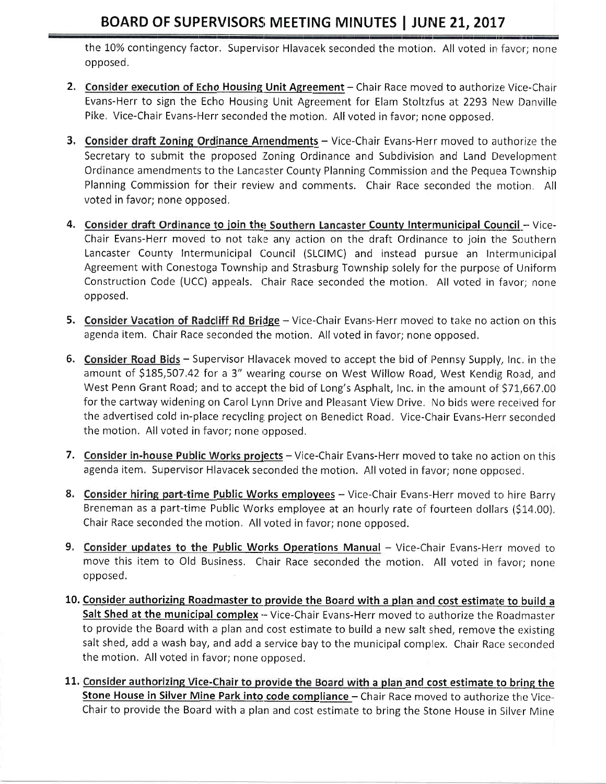## **BOARD OF SUPERVISORS MEETING MINUTES | JUNE 21, 2017**

the 10% contingency factor. Supervisor Hlavacek seconded the motion. All voted in favor; none opposed.

- 2. Consider execution of Echo Housing Unit Agreement Chair Race moved to authorize Vice-Chair Evans-Herr to sign the Echo Housing Unit Agreement for Elam Stoltzfus at 2293 New Danville Pike. Vice-Chair Evans-Herr seconded the motion. All voted in favor; none opposed.
- 3. Consider draft Zoning Ordinance Amendments Vice-Chair Evans-Herr moved to authorize the Secretary to submit the proposed Zoning Ordinance and Subdivision and Land Development Ordinance amendments to the Lancaster County Planning Commission and the Pequea Township Planning Commission for their review and comments. Chair Race seconded the motion. All voted in favor; none opposed.
- 4. Consider draft Ordinance to join the Southern Lancaster County Intermunicipal Council Vice-Chair Evans-Herr moved to not take any action on the draft Ordinance to join the Southern Lancaster County Intermunicipal Council (SLCIMC) and instead pursue an Intermunicipal Agreement with Conestoga Township and Strasburg Township solely for the purpose of Uniform Construction Code (UCC) appeals. Chair Race seconded the motion. All voted in favor; none opposed.
- 5. Consider Vacation of Radcliff Rd Bridge Vice-Chair Evans-Herr moved to take no action on this agenda item. Chair Race seconded the motion. All voted in favor; none opposed.
- 6. Consider Road Bids Supervisor Hlavacek moved to accept the bid of Pennsy Supply, Inc. in the amount of \$185,507.42 for a 3" wearing course on West Willow Road, West Kendig Road, and West Penn Grant Road; and to accept the bid of Long's Asphalt, Inc. in the amount of \$71,667.00 for the cartway widening on Carol Lynn Drive and Pleasant View Drive. No bids were received for the advertised cold in-place recycling project on Benedict Road. Vice-Chair Evans-Herr seconded the motion. All voted in favor; none opposed.
- 7. Consider in-house Public Works projects Vice-Chair Evans-Herr moved to take no action on this agenda item. Supervisor Hlavacek seconded the motion. All voted in favor; none opposed.
- 8. Consider hiring part-time Public Works employees Vice-Chair Evans-Herr moved to hire Barry Breneman as a part-time Public Works employee at an hourly rate of fourteen dollars (\$14.00). Chair Race seconded the motion. All voted in favor; none opposed.
- 9. Consider updates to the Public Works Operations Manual Vice-Chair Evans-Herr moved to move this item to Old Business. Chair Race seconded the motion. All voted in favor; none opposed.
- 10. Consider authorizing Roadmaster to provide the Board with a plan and cost estimate to build a Salt Shed at the municipal complex - Vice-Chair Evans-Herr moved to authorize the Roadmaster to provide the Board with a plan and cost estimate to build a new salt shed, remove the existing salt shed, add a wash bay, and add a service bay to the municipal complex. Chair Race seconded the motion. All voted in favor; none opposed.
- 11. Consider authorizing Vice-Chair to provide the Board with a plan and cost estimate to bring the Stone House in Silver Mine Park into code compliance - Chair Race moved to authorize the Vice-Chair to provide the Board with a plan and cost estimate to bring the Stone House in Silver Mine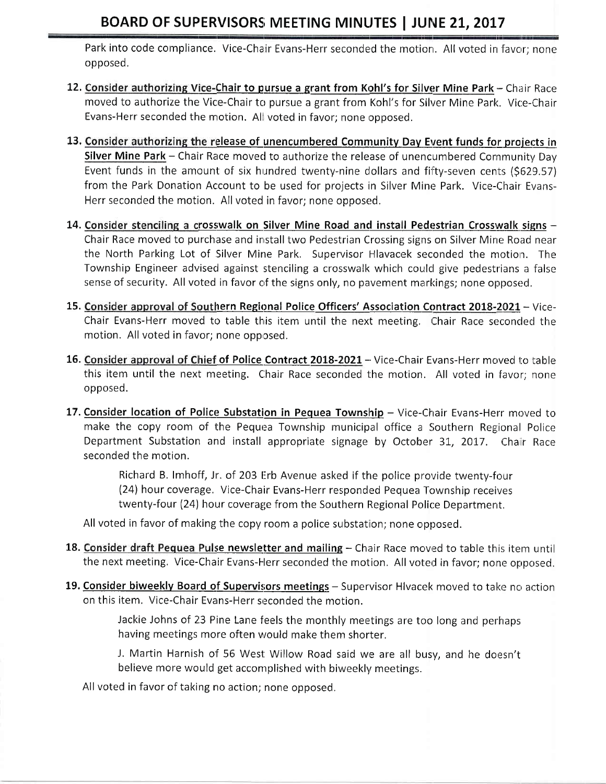## BOARD OF SUPERVISORS MEETING MINUTES | JUNE 21, 2017

Park into code compliance. Vice-Chair Evans-Herr seconded the motion. All voted in favor; none opposed.

- 12. Consider authorizing Vice-Chair to pursue a grant from Kohl's for Silver Mine Park Chair Race moved to authorize the Vice-Chair to pursue a grant from Kohl's for Silver Mine Park. Vice-Chair Evans-Herr seconded the motion. All voted in favor; none opposed.
- 13. Consider authorizing the release of unencumbered Community Day Event funds for projects in Silver Mine Park - Chair Race moved to authorize the release of unencumbered Community Day Event funds in the amount of six hundred twenty-nine dollars and fifty-seven cents (\$629.57) from the Park Donation Account to be used for projects in Silver Mine Park. Vice-Chair Evans-Herr seconded the motion. All voted in favor; none opposed.
- 14. Consider stenciling a crosswalk on Silver Mine Road and install Pedestrian Crosswalk signs -Chair Race moved to purchase and install two Pedestrian Crossing signs on Silver Mine Road near the North Parking Lot of Silver Mine Park. Supervisor Hlavacek seconded the motion. The Township Engineer advised against stenciling a crosswalk which could give pedestrians a false sense of security. All voted in favor of the signs only, no pavement markings; none opposed.
- 15. Consider approval of Southern Regional Police Officers' Association Contract 2018-2021 Vice-Chair Evans-Herr moved to table this item until the next meeting. Chair Race seconded the motion. All voted in favor; none opposed.
- 16. Consider approval of Chief of Police Contract 2018-2021 Vice-Chair Evans-Herr moved to table this item until the next meeting. Chair Race seconded the motion. All voted in favor; none opposed.
- 17. Consider location of Police Substation in Pequea Township Vice-Chair Evans-Herr moved to make the copy room of the Pequea Township municipal office a Southern Regional Police Department Substation and install appropriate signage by October 31, 2017. Chair Race seconded the motion.

Richard B. Imhoff, Jr. of 203 Erb Avenue asked if the police provide twenty-four (24) hour coverage. Vice-Chair Evans-Herr responded Pequea Township receives twenty-four (24) hour coverage from the Southern Regional Police Department.

All voted in favor of making the copy room a police substation; none opposed.

- 18. Consider draft Pequea Pulse newsletter and mailing Chair Race moved to table this item until the next meeting. Vice-Chair Evans-Herr seconded the motion. All voted in favor; none opposed.
- 19. Consider biweekly Board of Supervisors meetings Supervisor Hivacek moved to take no action on this item. Vice-Chair Evans-Herr seconded the motion.

Jackie Johns of 23 Pine Lane feels the monthly meetings are too long and perhaps having meetings more often would make them shorter.

J. Martin Harnish of 56 West Willow Road said we are all busy, and he doesn't believe more would get accomplished with biweekly meetings.

All voted in favor of taking no action; none opposed,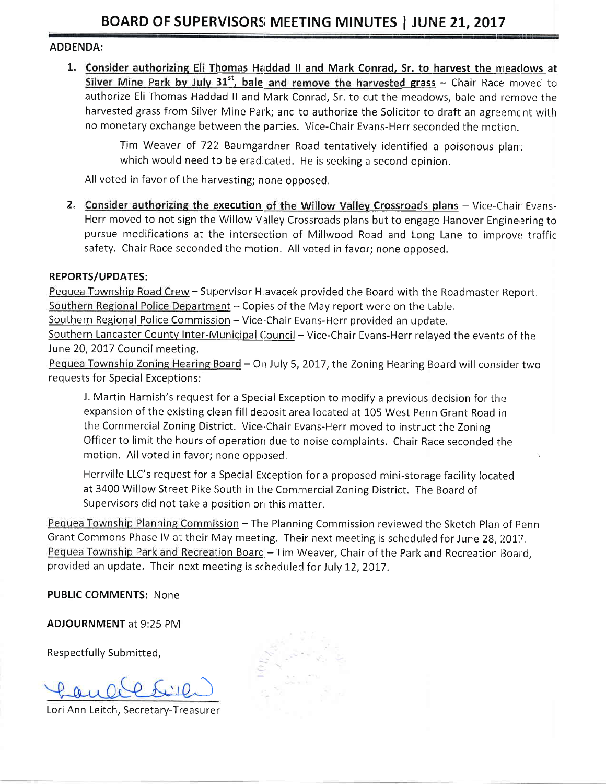#### **ADDENDA:**

1. Consider authorizing Eli Thomas Haddad II and Mark Conrad, Sr. to harvest the meadows at Silver Mine Park by July 31<sup>st</sup>, bale and remove the harvested grass - Chair Race moved to authorize Eli Thomas Haddad II and Mark Conrad, Sr. to cut the meadows, bale and remove the harvested grass from Silver Mine Park; and to authorize the Solicitor to draft an agreement with no monetary exchange between the parties. Vice-Chair Evans-Herr seconded the motion.

> Tim Weaver of 722 Baumgardner Road tentatively identified a poisonous plant which would need to be eradicated. He is seeking a second opinion.

All voted in favor of the harvesting; none opposed.

2. Consider authorizing the execution of the Willow Valley Crossroads plans - Vice-Chair Evans-Herr moved to not sign the Willow Valley Crossroads plans but to engage Hanover Engineering to pursue modifications at the intersection of Millwood Road and Long Lane to improve traffic safety. Chair Race seconded the motion. All voted in favor; none opposed.

#### **REPORTS/UPDATES:**

Pequea Township Road Crew - Supervisor Hlavacek provided the Board with the Roadmaster Report. Southern Regional Police Department - Copies of the May report were on the table.

Southern Regional Police Commission - Vice-Chair Evans-Herr provided an update.

Southern Lancaster County Inter-Municipal Council - Vice-Chair Evans-Herr relayed the events of the June 20, 2017 Council meeting.

Pequea Township Zoning Hearing Board - On July 5, 2017, the Zoning Hearing Board will consider two requests for Special Exceptions:

J. Martin Harnish's request for a Special Exception to modify a previous decision for the expansion of the existing clean fill deposit area located at 105 West Penn Grant Road in the Commercial Zoning District. Vice-Chair Evans-Herr moved to instruct the Zoning Officer to limit the hours of operation due to noise complaints. Chair Race seconded the motion. All voted in favor; none opposed.

Herrville LLC's request for a Special Exception for a proposed mini-storage facility located at 3400 Willow Street Pike South in the Commercial Zoning District. The Board of Supervisors did not take a position on this matter.

Pequea Township Planning Commission - The Planning Commission reviewed the Sketch Plan of Penn Grant Commons Phase IV at their May meeting. Their next meeting is scheduled for June 28, 2017. Pequea Township Park and Recreation Board - Tim Weaver, Chair of the Park and Recreation Board, provided an update. Their next meeting is scheduled for July 12, 2017.

**PUBLIC COMMENTS: None** 

**ADJOURNMENT at 9:25 PM** 

Respectfully Submitted,

Lori Ann Leitch, Secretary-Treasurer